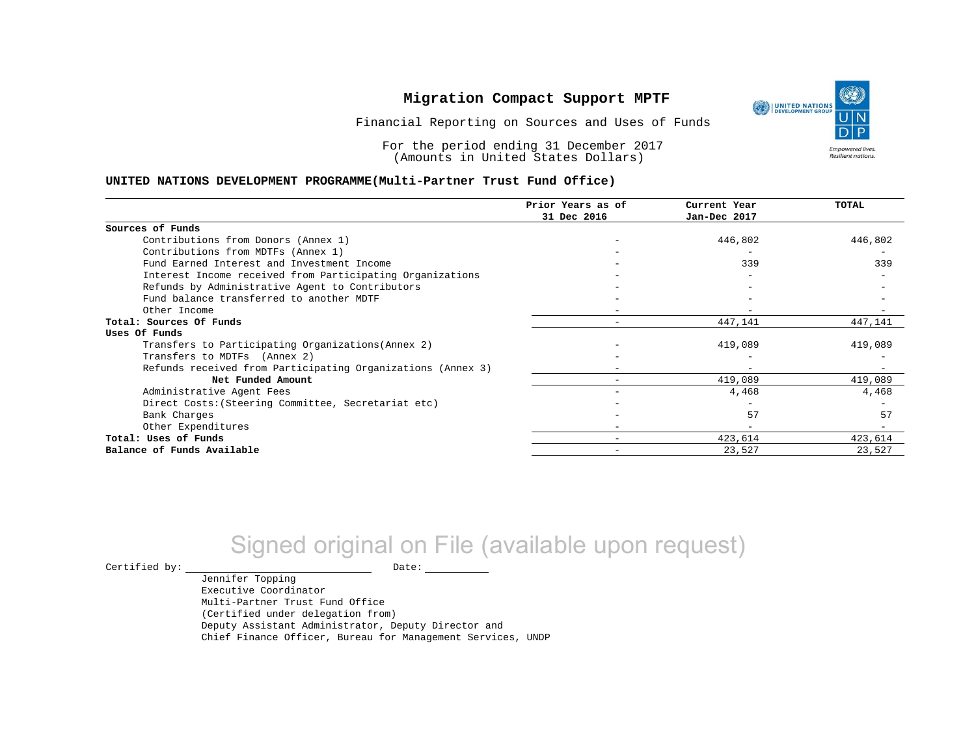

١

**Empowered lives** Resilient nations.

Financial Reporting on Sources and Uses of Funds

For the period ending 31 December 2017 (Amounts in United States Dollars)

#### **UNITED NATIONS DEVELOPMENT PROGRAMME(Multi-Partner Trust Fund Office)**

|                                                             | Prior Years as of | Current Year | <b>TOTAL</b> |
|-------------------------------------------------------------|-------------------|--------------|--------------|
|                                                             | 31 Dec 2016       | Jan-Dec 2017 |              |
| Sources of Funds                                            |                   |              |              |
| Contributions from Donors (Annex 1)                         |                   | 446,802      | 446,802      |
| Contributions from MDTFs (Annex 1)                          |                   |              |              |
| Fund Earned Interest and Investment Income                  |                   | 339          | 339          |
| Interest Income received from Participating Organizations   |                   |              |              |
| Refunds by Administrative Agent to Contributors             |                   |              |              |
| Fund balance transferred to another MDTF                    |                   |              |              |
| Other Income                                                |                   |              |              |
| Total: Sources Of Funds                                     |                   | 447,141      | 447,141      |
| Uses Of Funds                                               |                   |              |              |
| Transfers to Participating Organizations (Annex 2)          |                   | 419,089      | 419,089      |
| Transfers to MDTFs (Annex 2)                                |                   |              |              |
| Refunds received from Participating Organizations (Annex 3) |                   |              |              |
| Net Funded Amount                                           |                   | 419,089      | 419,089      |
| Administrative Agent Fees                                   |                   | 4,468        | 4,468        |
| Direct Costs: (Steering Committee, Secretariat etc)         |                   |              |              |
| Bank Charges                                                |                   | 57           | 57           |
| Other Expenditures                                          |                   |              |              |
| Total: Uses of Funds                                        | -                 | 423,614      | 423,614      |
| Balance of Funds Available                                  |                   | 23,527       | 23,527       |

# Signed original on File (available upon request)

 $\begin{tabular}{ccccc} \multicolumn{2}{c|}{\textbf{Certified by:}} & \multicolumn{2}{c|}{\textbf{Date:}} \end{tabular}$ 

Jennifer Topping Executive Coordinator Multi-Partner Trust Fund Office (Certified under delegation from) Deputy Assistant Administrator, Deputy Director and Chief Finance Officer, Bureau for Management Services, UNDP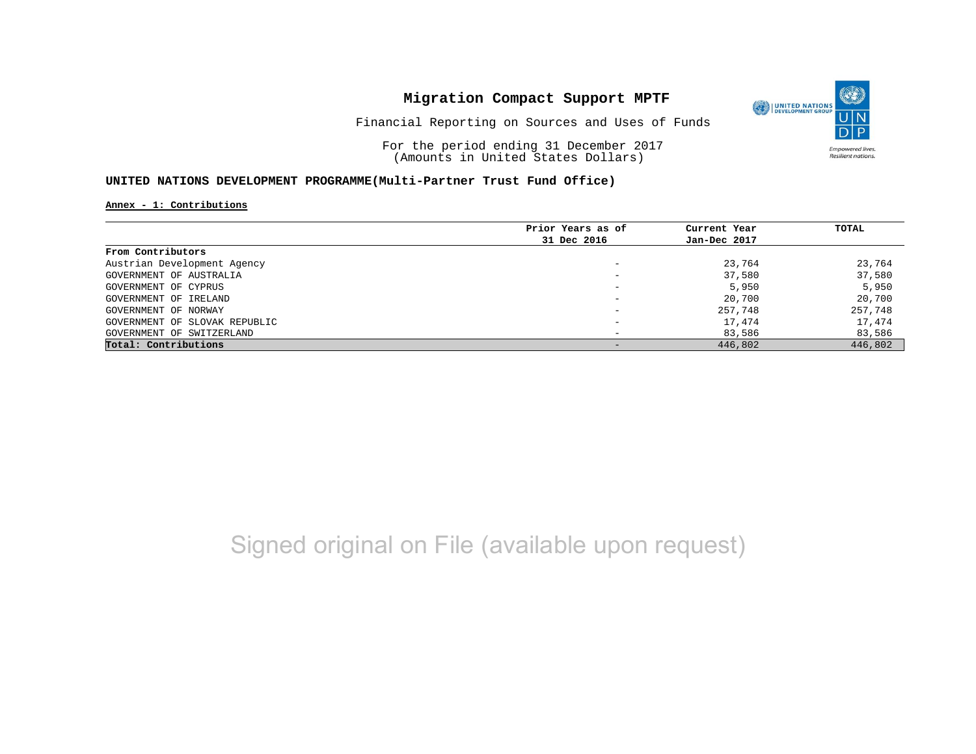

Financial Reporting on Sources and Uses of Funds

For the period ending 31 December 2017 (Amounts in United States Dollars)

#### **UNITED NATIONS DEVELOPMENT PROGRAMME(Multi-Partner Trust Fund Office)**

**Annex - 1: Contributions**

|                               | Prior Years as of | Current Year | TOTAL   |
|-------------------------------|-------------------|--------------|---------|
|                               | 31 Dec 2016       | Jan-Dec 2017 |         |
| From Contributors             |                   |              |         |
| Austrian Development Agency   |                   | 23,764       | 23,764  |
| GOVERNMENT OF AUSTRALIA       |                   | 37,580       | 37,580  |
| GOVERNMENT OF CYPRUS          | -                 | 5,950        | 5,950   |
| GOVERNMENT OF IRELAND         |                   | 20,700       | 20,700  |
| GOVERNMENT OF NORWAY          |                   | 257,748      | 257,748 |
| GOVERNMENT OF SLOVAK REPUBLIC |                   | 17,474       | 17,474  |
| GOVERNMENT OF SWITZERLAND     |                   | 83,586       | 83,586  |
| Total: Contributions          |                   | 446,802      | 446,802 |

# Signed original on File (available upon request)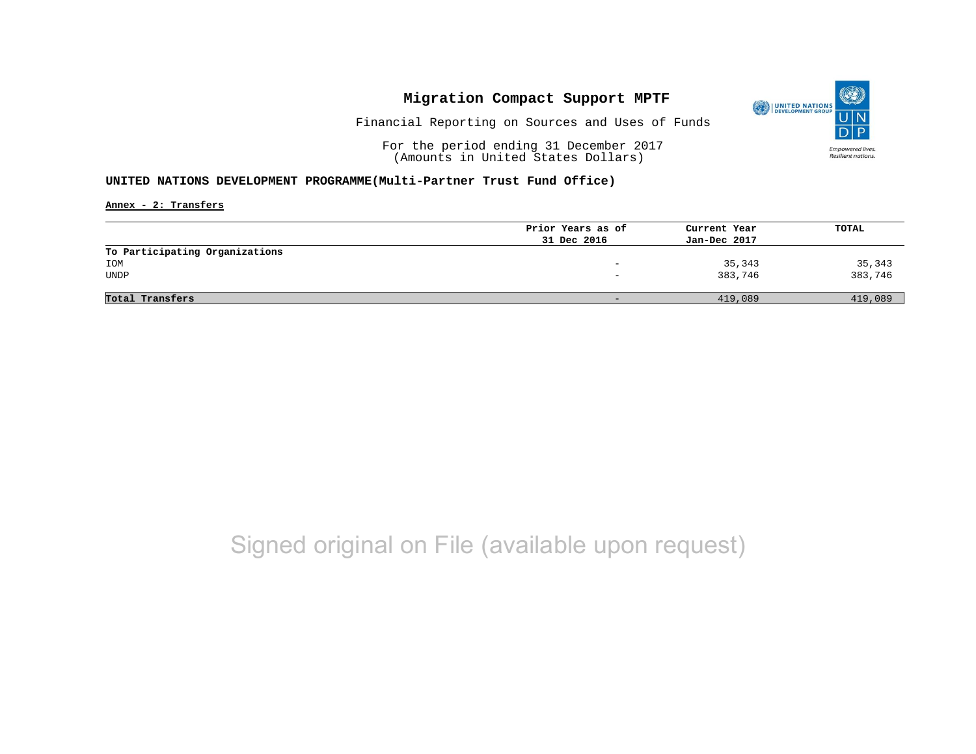

Financial Reporting on Sources and Uses of Funds

For the period ending 31 December 2017 (Amounts in United States Dollars)

#### **UNITED NATIONS DEVELOPMENT PROGRAMME(Multi-Partner Trust Fund Office)**

**Annex - 2: Transfers**

|                                | Prior Years as of            | Current Year | TOTAL   |
|--------------------------------|------------------------------|--------------|---------|
|                                | 31 Dec 2016                  | Jan-Dec 2017 |         |
| To Participating Organizations |                              |              |         |
| IOM                            | -                            | 35,343       | 35,343  |
| UNDP                           |                              | 383,746      | 383,746 |
|                                |                              |              |         |
| Total Transfers                | $\qquad \qquad \blacksquare$ | 419,089      | 419,089 |
|                                |                              |              |         |

## Signed original on File (available upon request)